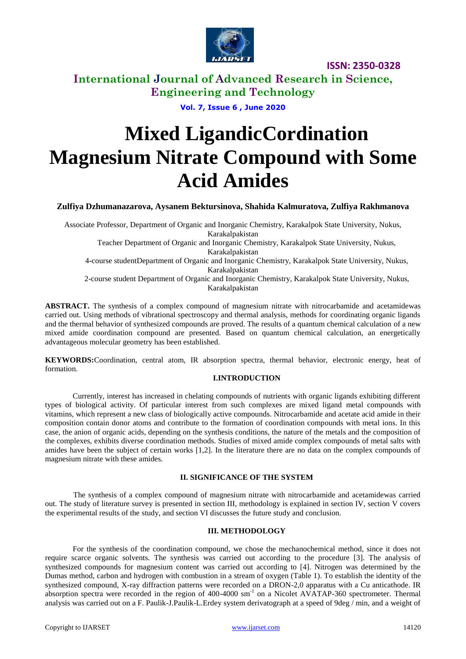

**International Journal of Advanced Research in Science, Engineering and Technology**

**Vol. 7, Issue 6 , June 2020**

# **Mixed LigandicCordination Magnesium Nitrate Compound with Some Acid Amides**

### **Zulfiya Dzhumanazarova, Aysanem Bektursinova, Shahida Kalmuratova, Zulfiya Rakhmanova**

Associate Professor, Department of Organic and Inorganic Chemistry, Karakalpok State University, Nukus, Karakalpakistan Teacher Department of Organic and Inorganic Chemistry, Karakalpok State University, Nukus, Karakalpakistan 4-course studentDepartment of Organic and Inorganic Chemistry, Karakalpok State University, Nukus, Karakalpakistan 2-course student Department of Organic and Inorganic Chemistry, Karakalpok State University, Nukus, Karakalpakistan

**ABSTRACT.** The synthesis of a complex compound of magnesium nitrate with nitrocarbamide and acetamidewas carried out. Using methods of vibrational spectroscopy and thermal analysis, methods for coordinating organic ligands and the thermal behavior of synthesized compounds are proved. The results of a quantum chemical calculation of a new mixed amide coordination compound are presented. Based on quantum chemical calculation, an energetically advantageous molecular geometry has been established.

**KEYWORDS:**Coordination, central atom, IR absorption spectra, thermal behavior, electronic energy, heat of formation.

### **I.INTRODUCTION**

Currently, interest has increased in chelating compounds of nutrients with organic ligands exhibiting different types of biological activity. Of particular interest from such complexes are mixed ligand metal compounds with vitamins, which represent a new class of biologically active compounds. Nitrocarbamide and acetate acid amide in their composition contain donor atoms and contribute to the formation of coordination compounds with metal ions. In this case, the anion of organic acids, depending on the synthesis conditions, the nature of the metals and the composition of the complexes, exhibits diverse coordination methods. Studies of mixed amide complex compounds of metal salts with amides have been the subject of certain works [1,2]. In the literature there are no data on the complex compounds of magnesium nitrate with these amides.

### **II. SIGNIFICANCE OF THE SYSTEM**

The synthesis of a complex compound of magnesium nitrate with nitrocarbamide and acetamidewas carried out. The study of literature survey is presented in section III, methodology is explained in section IV, section V covers the experimental results of the study, and section VI discusses the future study and conclusion.

### **III. METHODOLOGY**

For the synthesis of the coordination compound, we chose the mechanochemical method, since it does not require scarce organic solvents. The synthesis was carried out according to the procedure [3]. The analysis of synthesized compounds for magnesium content was carried out according to [4]. Nitrogen was determined by the Dumas method, carbon and hydrogen with combustion in a stream of oxygen (Table 1). To establish the identity of the synthesized compound, X-ray diffraction patterns were recorded on a DRON-2,0 apparatus with a Cu anticathode. IR absorption spectra were recorded in the region of 400-4000 sm<sup>-1</sup> on a Nicolet AVATAP-360 spectrometer. Thermal analysis was carried out on a F. Paulik-J.Paulik-L.Erdey system derivatograph at a speed of 9deg / min, and a weight of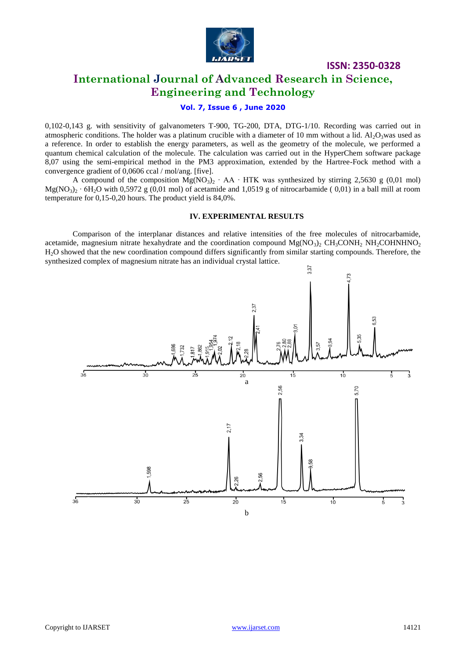

### **International Journal of Advanced Research in Science, Engineering and Technology**

### **Vol. 7, Issue 6 , June 2020**

0,102-0,143 g. with sensitivity of galvanometers T-900, TG-200, DTA, DTG-1/10. Recording was carried out in atmospheric conditions. The holder was a platinum crucible with a diameter of 10 mm without a lid.  $Al_2O_3$ was used as a reference. In order to establish the energy parameters, as well as the geometry of the molecule, we performed a quantum chemical calculation of the molecule. The calculation was carried out in the HyperChem software package 8,07 using the semi-empirical method in the PM3 approximation, extended by the Hartree-Fock method with a convergence gradient of 0,0606 ccal / mol/ang. [five].

A compound of the composition  $Mg(NO<sub>3</sub>)<sub>2</sub>$   $\cdot$  AA  $\cdot$  HTK was synthesized by stirring 2,5630 g (0,01 mol)  $Mg(NO_3)$ <sup>2</sup> • 6H<sub>2</sub>O with 0,5972 g (0,01 mol) of acetamide and 1,0519 g of nitrocarbamide (0,01) in a ball mill at room temperature for 0,15-0,20 hours. The product yield is 84,0%.

### **IV. EXPERIMENTAL RESULTS**

Comparison of the interplanar distances and relative intensities of the free molecules of nitrocarbamide, acetamide, magnesium nitrate hexahydrate and the coordination compound  $Mg(NO<sub>3</sub>)<sub>2</sub> CH<sub>3</sub>CONH<sub>2</sub> NH<sub>2</sub>COHNHNO<sub>2</sub>$ H2O showed that the new coordination compound differs significantly from similar starting compounds. Therefore, the synthesized complex of magnesium nitrate has an individual crystal lattice.

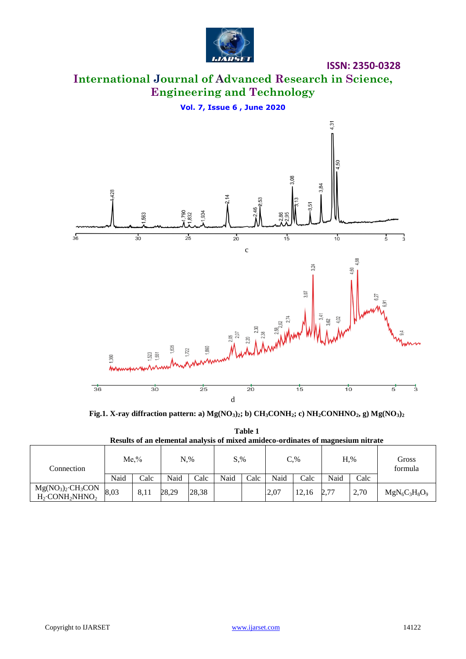

**ISSN: 2350-0328**

# **International Journal of Advanced Research in Science, Engineering and Technology**

**Vol. 7, Issue 6 , June 2020**



**Fig.1. X-ray diffraction pattern: a) Mg(NO3)2; b) CH3CONH2; c) NH2CONHNO2, g) Mg(NO3)<sup>2</sup>**

| Results of an elemental analysis of mixed amideco-ordinates of magnesium nitrate |      |      |               |       |               |      |        |       |      |      |                  |
|----------------------------------------------------------------------------------|------|------|---------------|-------|---------------|------|--------|-------|------|------|------------------|
| Connection                                                                       | Me.% |      | $N_{\cdot}\%$ |       | $S_{\cdot\%}$ |      | $C.\%$ |       | H.%  |      | Gross<br>formula |
|                                                                                  | Naid | Calc | Naid          | Calc  | Naid          | Calc | Naid   | Calc  | Naid | Calc |                  |
| $Mg(NO3)2·CH3CON$<br>$H2·CONH2NHNO2$                                             | 8,03 | 8.11 | 28.29         | 28,38 |               |      | 2.07   | 12.16 | 2,77 | 2.70 | $MgN_6C_3H_8O_9$ |

**Table 1 Results of an elemental analysis of mixed amideco-ordinates of magnesium nitrate**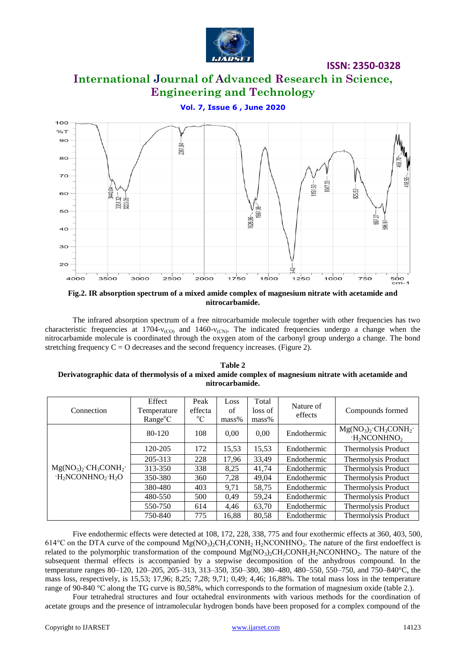

### **International Journal of Advanced Research in Science, Engineering and Technology**

**Vol. 7, Issue 6 , June 2020**



**Fig.2. IR absorption spectrum of a mixed amide complex of magnesium nitrate with acetamide and nitrocarbamide.**

The infrared absorption spectrum of a free nitrocarbamide molecule together with other frequencies has two characteristic frequencies at 1704- $v_{\text{(CO)}}$  and 1460- $v_{\text{(CN)}}$ . The indicated frequencies undergo a change when the nitrocarbamide molecule is coordinated through the oxygen atom of the carbonyl group undergo a change. The bond stretching frequency  $C = O$  decreases and the second frequency increases. (Figure 2).

| Table 2                                                                                              |  |  |  |  |  |  |
|------------------------------------------------------------------------------------------------------|--|--|--|--|--|--|
| Derivatographic data of thermolysis of a mixed amide complex of magnesium nitrate with acetamide and |  |  |  |  |  |  |
| nitrocarbamide.                                                                                      |  |  |  |  |  |  |

| Connection                                    | Effect<br>Temperature<br>$Range^{\circ}C$ | Peak<br>effecta<br>$^{\circ}C$ | Loss<br>of<br>$mass\%$ | Total<br>loss of<br>$mass\%$ | Nature of<br>effects | Compounds formed                       |
|-----------------------------------------------|-------------------------------------------|--------------------------------|------------------------|------------------------------|----------------------|----------------------------------------|
| $Mg(NO3)2·CH3CONH2·$<br>$H_2NCONHNO_2$ $H_2O$ | 80-120                                    | 108                            | 0.00                   | 0,00                         | Endothermic          | $Mg(NO3)2·CH3CONH2·$<br>$H_2NCONHNO_2$ |
|                                               | 120-205                                   | 172                            | 15,53                  | 15,53                        | Endothermic          | Thermolysis Product                    |
|                                               | 205-313                                   | 228                            | 17.96                  | 33.49                        | Endothermic          | Thermolysis Product                    |
|                                               | 313-350                                   | 338                            | 8,25                   | 41.74                        | Endothermic          | Thermolysis Product                    |
|                                               | 350-380                                   | 360                            | 7,28                   | 49,04                        | Endothermic          | Thermolysis Product                    |
|                                               | 380-480                                   | 403                            | 9,71                   | 58,75                        | Endothermic          | Thermolysis Product                    |
|                                               | 480-550                                   | 500                            | 0.49                   | 59,24                        | Endothermic          | Thermolysis Product                    |
|                                               | 550-750                                   | 614                            | 4.46                   | 63,70                        | Endothermic          | Thermolysis Product                    |
|                                               | 750-840                                   | 775                            | 16,88                  | 80,58                        | Endothermic          | Thermolysis Product                    |

Five endothermic effects were detected at 108, 172, 228, 338, 775 and four exothermic effects at 360, 403, 500, 614°C on the DTA curve of the compound  $Mg(NO_3)_2CH_3CONH_2 H_2NCONHNO_2$ . The nature of the first endoeffect is related to the polymorphic transformation of the compound  $Mg(NO<sub>3</sub>)<sub>2</sub>CH<sub>3</sub>CONH<sub>2</sub>H<sub>2</sub>NCONHNO<sub>2</sub>$ . The nature of the subsequent thermal effects is accompanied by a stepwise decomposition of the anhydrous compound. In the temperature ranges 80–120, 120–205, 205–313, 313–350, 350–380, 380–480, 480–550, 550–750, and 750–840°C, the mass loss, respectively, is 15,53; 17,96; 8,25; 7,28; 9,71; 0,49; 4,46; 16,88%. The total mass loss in the temperature range of 90-840 °C along the TG curve is 80,58%, which corresponds to the formation of magnesium oxide (table 2.).

Four tetrahedral structures and four octahedral environments with various methods for the coordination of acetate groups and the presence of intramolecular hydrogen bonds have been proposed for a complex compound of the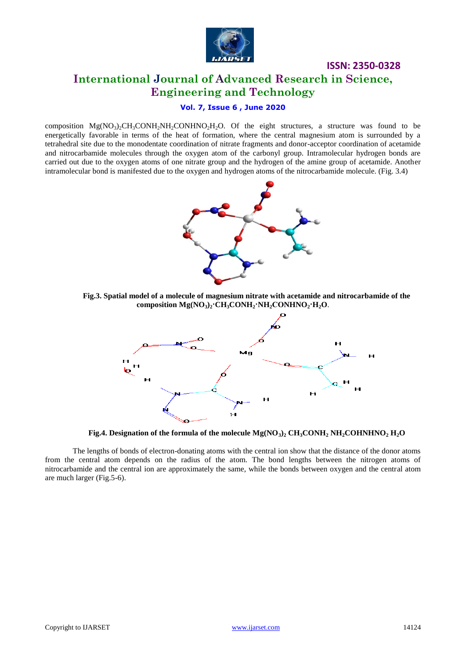

## **International Journal of Advanced Research in Science, Engineering and Technology**

**ISSN: 2350-0328**

### **Vol. 7, Issue 6 , June 2020**

composition  $Mg(NO<sub>3</sub>)<sub>2</sub>CH<sub>3</sub>CONH<sub>2</sub>NH<sub>2</sub>CONHNO<sub>2</sub>H<sub>2</sub>O$ . Of the eight structures, a structure was found to be energetically favorable in terms of the heat of formation, where the central magnesium atom is surrounded by a tetrahedral site due to the monodentate coordination of nitrate fragments and donor-acceptor coordination of acetamide and nitrocarbamide molecules through the oxygen atom of the carbonyl group. Intramolecular hydrogen bonds are carried out due to the oxygen atoms of one nitrate group and the hydrogen of the amine group of acetamide. Another intramolecular bond is manifested due to the oxygen and hydrogen atoms of the nitrocarbamide molecule. (Fig. 3.4)



**Fig.3. Spatial model of a molecule of magnesium nitrate with acetamide and nitrocarbamide of the composition Mg(NO3)2·CH3CONH2·NH2СОNHNO2·H2O**.



**Fig.4. Designation of the formula of the molecule Mg(NO3)<sup>2</sup> CH3CONH<sup>2</sup> NH2COHNHNO<sup>2</sup> H2O**

The lengths of bonds of electron-donating atoms with the central ion show that the distance of the donor atoms from the central atom depends on the radius of the atom. The bond lengths between the nitrogen atoms of nitrocarbamide and the central ion are approximately the same, while the bonds between oxygen and the central atom are much larger (Fig.5-6).